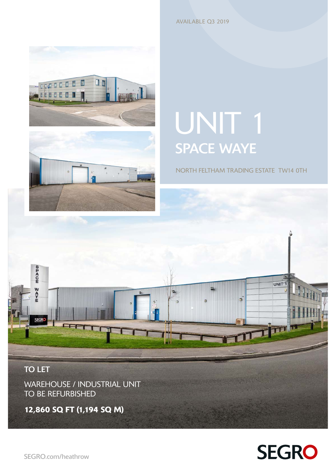AVAILABLE Q3 2019





# UNIT<sub>1</sub> SPACE WAYE

NORTH FELTHAM TRADING ESTATE TW14 0TH



TO BE REFURBISHED

12,860 SQ FT (1,194 SQ M)